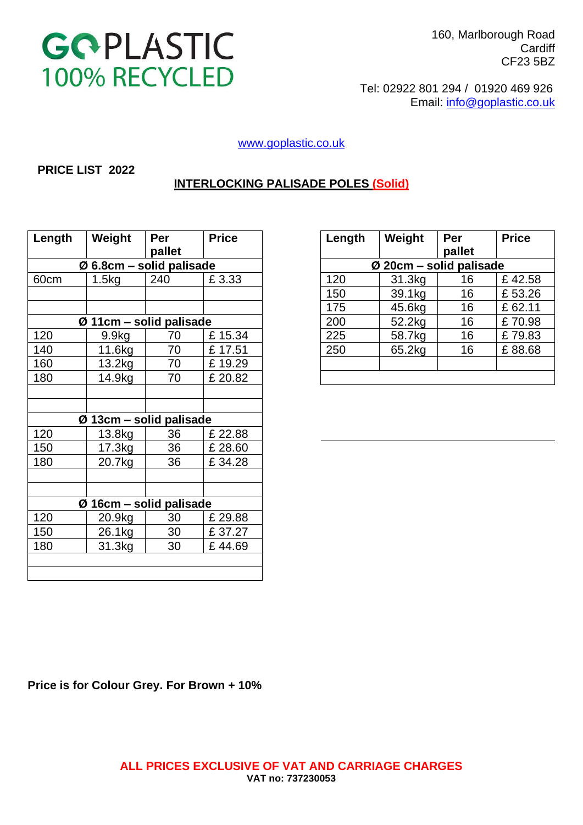

 160, Marlborough Road **Cardiff** CF23 5BZ

 Tel: 02922 801 294 / 01920 469 926 Email: [info@goplastic.co.uk](mailto:info@goplastic.co.uk)

[www.goplastic.co.uk](http://www.goplastic.co.uk/)

#### **PRICE LIST 2022**

### **INTERLOCKING PALISADE POLES (Solid)**

| Length | Weight                     | Per    | <b>Price</b> | Length | Weight                  | Per    | <b>Price</b> |
|--------|----------------------------|--------|--------------|--------|-------------------------|--------|--------------|
|        |                            | pallet |              |        |                         | pallet |              |
|        | $Ø$ 6.8cm – solid palisade |        |              |        | Ø 20cm - solid palisade |        |              |
| 60cm   | 1.5kg                      | 240    | £3.33        | 120    | 31.3kg                  | 16     | £42.58       |
|        |                            |        |              | 150    | 39.1kg                  | 16     | £53.26       |
|        |                            |        |              | 175    | 45.6kg                  | 16     | £62.11       |
|        | $Ø$ 11cm – solid palisade  |        |              | 200    | 52.2kg                  | 16     | £70.98       |
| 120    | 9.9 <sub>kg</sub>          | 70     | £15.34       | 225    | 58.7kg                  | 16     | £79.83       |
| 140    | 11.6kg                     | 70     | £17.51       | 250    | 65.2kg                  | 16     | £88.68       |
| 160    | 13.2kg                     | 70     | £19.29       |        |                         |        |              |
| 180    | 14.9kg                     | 70     | £20.82       |        |                         |        |              |
|        |                            |        |              |        |                         |        |              |
|        |                            |        |              |        |                         |        |              |
|        | $Ø$ 13cm – solid palisade  |        |              |        |                         |        |              |
| 120    | 13.8kg                     | 36     | £ 22.88      |        |                         |        |              |
| 150    | 17.3kg                     | 36     | £ 28.60      |        |                         |        |              |
| 180    | 20.7kg                     | 36     | £34.28       |        |                         |        |              |
|        |                            |        |              |        |                         |        |              |
|        |                            |        |              |        |                         |        |              |
|        | $Ø$ 16cm – solid palisade  |        |              |        |                         |        |              |
| 120    | 20.9kg                     | 30     | £ 29.88      |        |                         |        |              |
| 150    | 26.1kg                     | 30     | £37.27       |        |                         |        |              |
| 180    | 31.3kg                     | 30     | £44.69       |        |                         |        |              |
|        |                            |        |              |        |                         |        |              |
|        |                            |        |              |        |                         |        |              |
|        |                            |        |              |        |                         |        |              |

| Weight                               | Per    | <b>Price</b> | Length | Weight                    | Per    | <b>Price</b> |  |  |
|--------------------------------------|--------|--------------|--------|---------------------------|--------|--------------|--|--|
|                                      | pallet |              |        |                           | pallet |              |  |  |
| $\varnothing$ 6.8cm – solid palisade |        |              |        | $Ø$ 20cm – solid palisade |        |              |  |  |
| 1.5kg                                | 240    | £3.33        | 120    | 31.3kg                    | 16     | £42.58       |  |  |
|                                      |        |              | 150    | 39.1kg                    | 16     | £53.26       |  |  |
|                                      |        |              | 175    | 45.6kg                    | 16     | £62.11       |  |  |
| Ø 11cm – solid palisade              |        |              | 200    | 52.2kg                    | 16     | £70.98       |  |  |
| 9.9 <sub>kq</sub>                    | 70     | £15.34       | 225    | 58.7kg                    | 16     | £79.83       |  |  |
| 11.6kg                               | 70     | £17.51       | 250    | 65.2kg                    | 16     | £88.68       |  |  |
| 13.2kg                               | 70     | £19.29       |        |                           |        |              |  |  |
| 14.9ka                               | 70     | $£$ 20.82    |        |                           |        |              |  |  |

**Price is for Colour Grey. For Brown + 10%**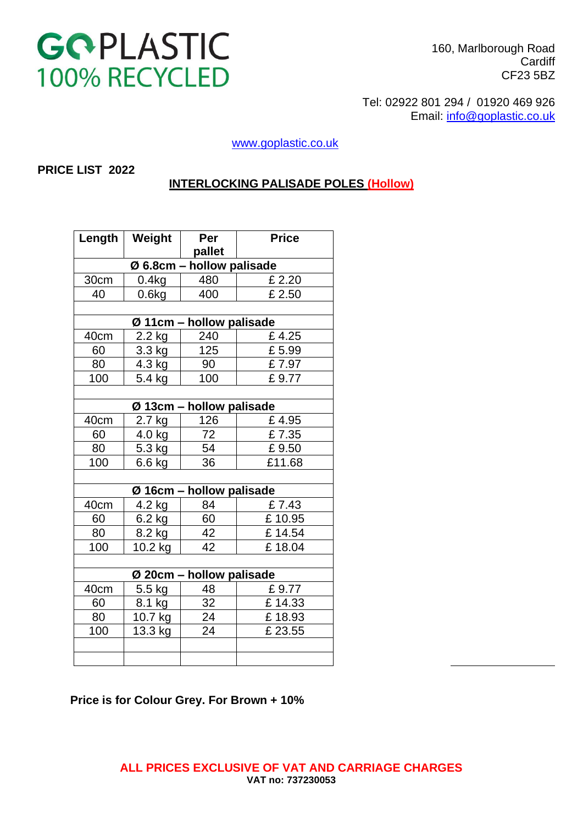# GOPLASTIC 100% RECYCLED

160, Marlborough Road **Cardiff** CF23 5BZ

 Tel: 02922 801 294 / 01920 469 926 Email: [info@goplastic.co.uk](mailto:info@goplastic.co.uk)

[www.goplastic.co.uk](http://www.goplastic.co.uk/)

#### **PRICE LIST 2022**

### **INTERLOCKING PALISADE POLES (Hollow)**

| Weight<br>Length          |         | Per                      | <b>Price</b> |  |  |  |  |  |  |  |
|---------------------------|---------|--------------------------|--------------|--|--|--|--|--|--|--|
|                           |         | pallet                   |              |  |  |  |  |  |  |  |
| Ø 6.8cm - hollow palisade |         |                          |              |  |  |  |  |  |  |  |
| 30cm                      | 0.4kg   |                          | £ 2.20       |  |  |  |  |  |  |  |
| 40                        | 0.6kg   | 400                      | £ 2.50       |  |  |  |  |  |  |  |
|                           |         |                          |              |  |  |  |  |  |  |  |
| Ø 11cm - hollow palisade  |         |                          |              |  |  |  |  |  |  |  |
| 40cm                      | 2.2 kg  | 240                      | £4.25        |  |  |  |  |  |  |  |
| 60                        | 3.3 kg  | 125                      | £5.99        |  |  |  |  |  |  |  |
| 80                        | 4.3 kg  | 90                       | £7.97        |  |  |  |  |  |  |  |
| 100                       | 5.4 kg  | 100                      | £9.77        |  |  |  |  |  |  |  |
|                           |         |                          |              |  |  |  |  |  |  |  |
|                           |         | Ø 13cm - hollow palisade |              |  |  |  |  |  |  |  |
| 40cm                      | 2.7 kg  | 126                      | £4.95        |  |  |  |  |  |  |  |
| 4.0 kg<br>60              |         | 72                       | £7.35        |  |  |  |  |  |  |  |
| 80<br>5.3 kg              |         | 54                       | £9.50        |  |  |  |  |  |  |  |
| 100<br>6.6 kg             |         | 36                       | £11.68       |  |  |  |  |  |  |  |
|                           |         |                          |              |  |  |  |  |  |  |  |
|                           |         | Ø 16cm - hollow palisade |              |  |  |  |  |  |  |  |
| 40cm                      | 4.2 kg  | 84                       | £7.43        |  |  |  |  |  |  |  |
| 60                        | 6.2 kg  | 60                       | £10.95       |  |  |  |  |  |  |  |
| 80<br>8.2 kg              |         | 42                       | £14.54       |  |  |  |  |  |  |  |
| 100<br>10.2 kg            |         | 42                       | £18.04       |  |  |  |  |  |  |  |
|                           |         |                          |              |  |  |  |  |  |  |  |
| Ø 20cm - hollow palisade  |         |                          |              |  |  |  |  |  |  |  |
| 40cm                      | 5.5 kg  | 48                       | £9.77        |  |  |  |  |  |  |  |
| 60                        | 8.1 kg  | 32                       | £14.33       |  |  |  |  |  |  |  |
| 80                        | 10.7 kg | 24                       | £18.93       |  |  |  |  |  |  |  |
| 100                       | 13.3 kg | 24                       | £ 23.55      |  |  |  |  |  |  |  |
|                           |         |                          |              |  |  |  |  |  |  |  |
|                           |         |                          |              |  |  |  |  |  |  |  |

#### **Price is for Colour Grey. For Brown + 10%**